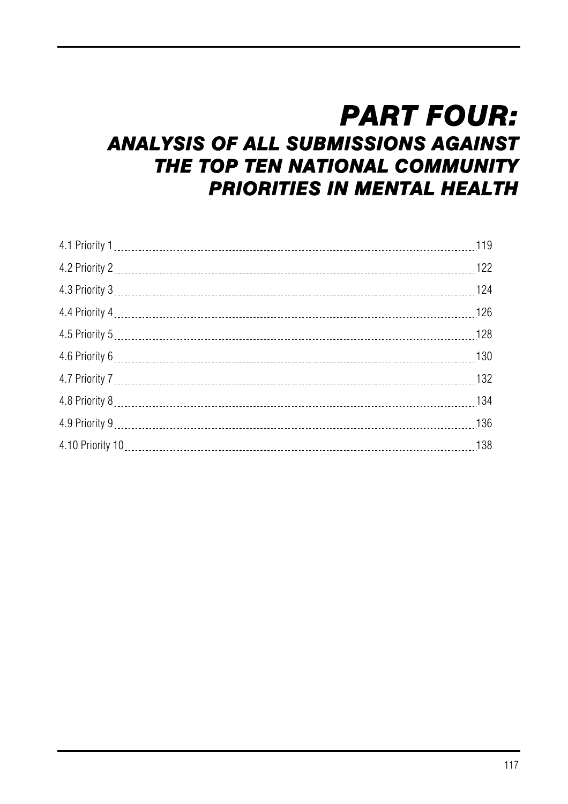# *PART FOUR:*

# *ANALYSIS OF ALL SUBMISSIONS AGAINST THE TOP TEN NATIONAL COMMUNITY PRIORITIES IN MENTAL HEALTH*

| 136 |
|-----|
|     |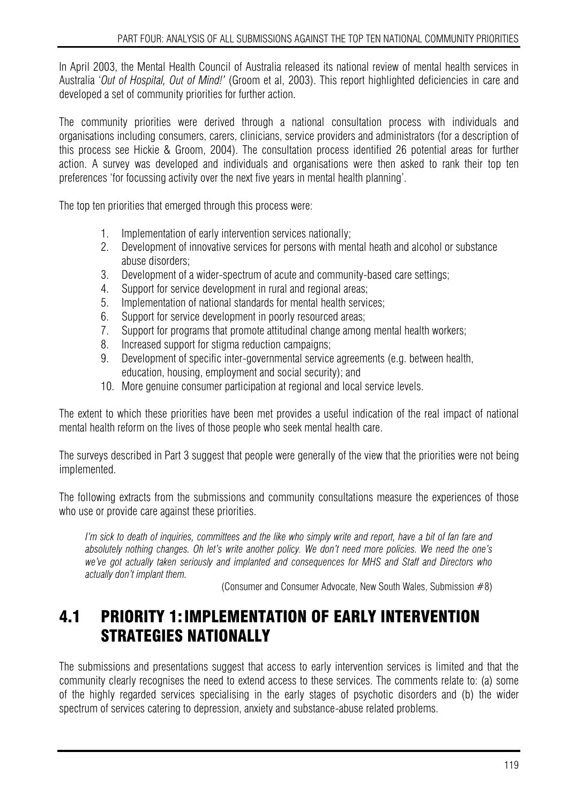In April 2003, the Mental Health Council of Australia released its national review of mental health services in Australia '*Out of Hospital, Out of Mind!'* (Groom et al, 2003). This report highlighted deficiencies in care and developed a set of community priorities for further action.

The community priorities were derived through a national consultation process with individuals and organisations including consumers, carers, clinicians, service providers and administrators (for a description of this process see Hickie & Groom, 2004). The consultation process identified 26 potential areas for further action. A survey was developed and individuals and organisations were then asked to rank their top ten preferences 'for focussing activity over the next five years in mental health planning'.

The top ten priorities that emerged through this process were:

- 1. Implementation of early intervention services nationally;
- 2. Development of innovative services for persons with mental heath and alcohol or substance abuse disorders;
- 3. Development of a wider-spectrum of acute and community-based care settings;
- 4. Support for service development in rural and regional areas;
- 5. Implementation of national standards for mental health services;
- 6. Support for service development in poorly resourced areas;
- 7. Support for programs that promote attitudinal change among mental health workers;
- 8. Increased support for stigma reduction campaigns;
- 9. Development of specific inter-governmental service agreements (e.g. between health, education, housing, employment and social security); and
- 10. More genuine consumer participation at regional and local service levels.

The extent to which these priorities have been met provides a useful indication of the real impact of national mental health reform on the lives of those people who seek mental health care.

The surveys described in Part 3 suggest that people were generally of the view that the priorities were not being implemented.

The following extracts from the submissions and community consultations measure the experiences of those who use or provide care against these priorities.

*I'm sick to death of inquiries, committees and the like who simply write and report, have a bit of fan fare and absolutely nothing changes. Oh let's write another policy. We don't need more policies. We need the one's we've got actually taken seriously and implanted and consequences for MHS and Staff and Directors who actually don't implant them.* 

(Consumer and Consumer Advocate, New South Wales, Submission #8)

# 4.1 PRIORITY 1: IMPLEMENTATION OF EARLY INTERVENTION STRATEGIES NATIONALLY

The submissions and presentations suggest that access to early intervention services is limited and that the community clearly recognises the need to extend access to these services. The comments relate to: (a) some of the highly regarded services specialising in the early stages of psychotic disorders and (b) the wider spectrum of services catering to depression, anxiety and substance-abuse related problems.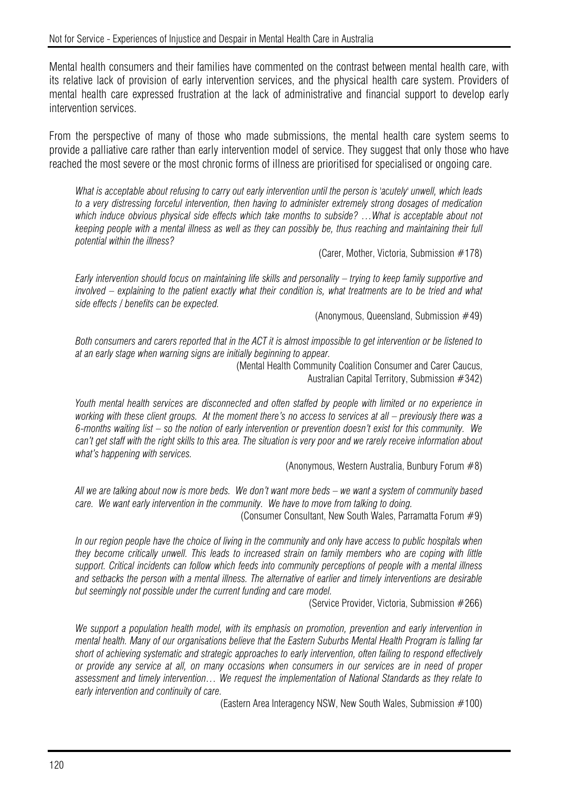Mental health consumers and their families have commented on the contrast between mental health care, with its relative lack of provision of early intervention services, and the physical health care system. Providers of mental health care expressed frustration at the lack of administrative and financial support to develop early intervention services.

From the perspective of many of those who made submissions, the mental health care system seems to provide a palliative care rather than early intervention model of service. They suggest that only those who have reached the most severe or the most chronic forms of illness are prioritised for specialised or ongoing care.

*What is acceptable about refusing to carry out early intervention until the person is 'acutely' unwell, which leads to a very distressing forceful intervention, then having to administer extremely strong dosages of medication*  which induce obvious physical side effects which take months to subside? ...What is acceptable about not *keeping people with a mental illness as well as they can possibly be, thus reaching and maintaining their full potential within the illness?* 

(Carer, Mother, Victoria, Submission #178)

*Early intervention should focus on maintaining life skills and personality – trying to keep family supportive and involved – explaining to the patient exactly what their condition is, what treatments are to be tried and what side effects / benefits can be expected.* 

(Anonymous, Queensland, Submission #49)

*Both consumers and carers reported that in the ACT it is almost impossible to get intervention or be listened to at an early stage when warning signs are initially beginning to appear.* 

(Mental Health Community Coalition Consumer and Carer Caucus, Australian Capital Territory, Submission #342)

*Youth mental health services are disconnected and often staffed by people with limited or no experience in working with these client groups. At the moment there's no access to services at all – previously there was a 6-months waiting list – so the notion of early intervention or prevention doesn't exist for this community. We can't get staff with the right skills to this area. The situation is very poor and we rarely receive information about what's happening with services.* 

(Anonymous, Western Australia, Bunbury Forum #8)

*All we are talking about now is more beds. We don't want more beds – we want a system of community based care. We want early intervention in the community. We have to move from talking to doing.* 

(Consumer Consultant, New South Wales, Parramatta Forum #9)

*In our region people have the choice of living in the community and only have access to public hospitals when they become critically unwell. This leads to increased strain on family members who are coping with little support. Critical incidents can follow which feeds into community perceptions of people with a mental illness and setbacks the person with a mental illness. The alternative of earlier and timely interventions are desirable but seemingly not possible under the current funding and care model.* 

(Service Provider, Victoria, Submission #266)

*We support a population health model, with its emphasis on promotion, prevention and early intervention in mental health. Many of our organisations believe that the Eastern Suburbs Mental Health Program is falling far short of achieving systematic and strategic approaches to early intervention, often failing to respond effectively or provide any service at all, on many occasions when consumers in our services are in need of proper assessment and timely intervention… We request the implementation of National Standards as they relate to early intervention and continuity of care.* 

(Eastern Area Interagency NSW, New South Wales, Submission #100)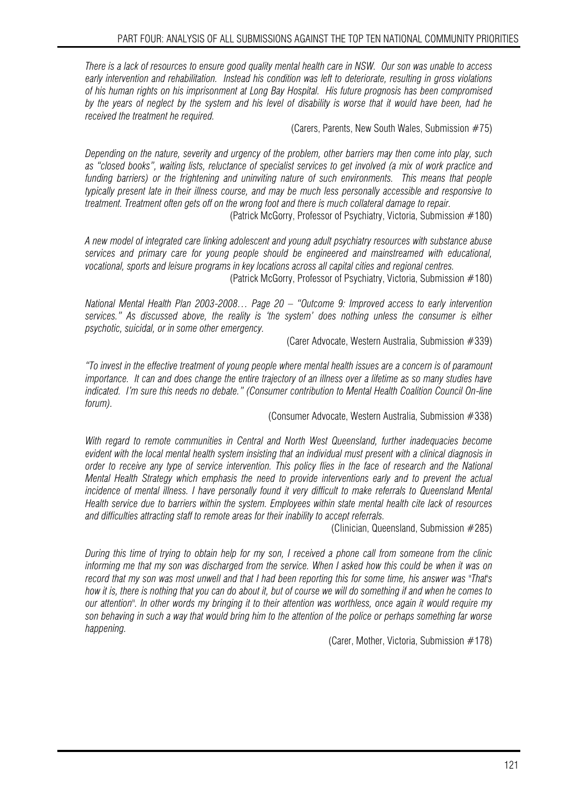*There is a lack of resources to ensure good quality mental health care in NSW. Our son was unable to access early intervention and rehabilitation. Instead his condition was left to deteriorate, resulting in gross violations of his human rights on his imprisonment at Long Bay Hospital. His future prognosis has been compromised by the years of neglect by the system and his level of disability is worse that it would have been, had he received the treatment he required.* 

(Carers, Parents, New South Wales, Submission #75)

*Depending on the nature, severity and urgency of the problem, other barriers may then come into play, such as "closed books", waiting lists, reluctance of specialist services to get involved (a mix of work practice and funding barriers) or the frightening and uninviting nature of such environments. This means that people typically present late in their illness course, and may be much less personally accessible and responsive to treatment. Treatment often gets off on the wrong foot and there is much collateral damage to repair.* 

(Patrick McGorry, Professor of Psychiatry, Victoria, Submission #180)

*A new model of integrated care linking adolescent and young adult psychiatry resources with substance abuse services and primary care for young people should be engineered and mainstreamed with educational, vocational, sports and leisure programs in key locations across all capital cities and regional centres.* 

(Patrick McGorry, Professor of Psychiatry, Victoria, Submission #180)

*National Mental Health Plan 2003-2008… Page 20 – "Outcome 9: Improved access to early intervention services." As discussed above, the reality is 'the system' does nothing unless the consumer is either psychotic, suicidal, or in some other emergency.* 

(Carer Advocate, Western Australia, Submission #339)

*"To invest in the effective treatment of young people where mental health issues are a concern is of paramount importance. It can and does change the entire trajectory of an illness over a lifetime as so many studies have indicated. I'm sure this needs no debate." (Consumer contribution to Mental Health Coalition Council On-line forum).* 

(Consumer Advocate, Western Australia, Submission #338)

*With regard to remote communities in Central and North West Queensland, further inadequacies become evident with the local mental health system insisting that an individual must present with a clinical diagnosis in order to receive any type of service intervention. This policy flies in the face of research and the National Mental Health Strategy which emphasis the need to provide interventions early and to prevent the actual*  incidence of mental illness. I have personally found it very difficult to make referrals to Queensland Mental *Health service due to barriers within the system. Employees within state mental health cite lack of resources and difficulties attracting staff to remote areas for their inability to accept referrals.* 

(Clinician, Queensland, Submission #285)

*During this time of trying to obtain help for my son, I received a phone call from someone from the clinic informing me that my son was discharged from the service. When I asked how this could be when it was on record that my son was most unwell and that I had been reporting this for some time, his answer was "That's how it is, there is nothing that you can do about it, but of course we will do something if and when he comes to our attention". In other words my bringing it to their attention was worthless, once again it would require my son behaving in such a way that would bring him to the attention of the police or perhaps something far worse happening.* 

(Carer, Mother, Victoria, Submission #178)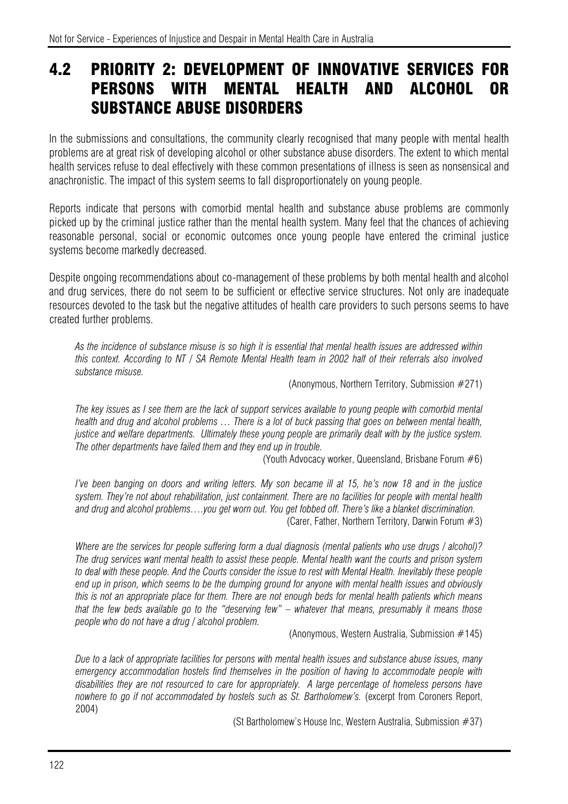# 4.2 PRIORITY 2: DEVELOPMENT OF INNOVATIVE SERVICES FOR PERSONS WITH MENTAL HEALTH AND ALCOHOL OR SUBSTANCE ABUSE DISORDERS

In the submissions and consultations, the community clearly recognised that many people with mental health problems are at great risk of developing alcohol or other substance abuse disorders. The extent to which mental health services refuse to deal effectively with these common presentations of illness is seen as nonsensical and anachronistic. The impact of this system seems to fall disproportionately on young people.

Reports indicate that persons with comorbid mental health and substance abuse problems are commonly picked up by the criminal justice rather than the mental health system. Many feel that the chances of achieving reasonable personal, social or economic outcomes once young people have entered the criminal justice systems become markedly decreased.

Despite ongoing recommendations about co-management of these problems by both mental health and alcohol and drug services, there do not seem to be sufficient or effective service structures. Not only are inadequate resources devoted to the task but the negative attitudes of health care providers to such persons seems to have created further problems.

*As the incidence of substance misuse is so high it is essential that mental health issues are addressed within this context. According to NT / SA Remote Mental Health team in 2002 half of their referrals also involved substance misuse.* 

(Anonymous, Northern Territory, Submission #271)

*The key issues as I see them are the lack of support services available to young people with comorbid mental health and drug and alcohol problems … There is a lot of buck passing that goes on between mental health, justice and welfare departments. Ultimately these young people are primarily dealt with by the justice system. The other departments have failed them and they end up in trouble.* 

(Youth Advocacy worker, Queensland, Brisbane Forum #6)

*I've been banging on doors and writing letters. My son became ill at 15, he's now 18 and in the justice system. They're not about rehabilitation, just containment. There are no facilities for people with mental health and drug and alcohol problems….you get worn out. You get fobbed off. There's like a blanket discrimination.*  (Carer, Father, Northern Territory, Darwin Forum #3)

*Where are the services for people suffering form a dual diagnosis (mental patients who use drugs / alcohol)? The drug services want mental health to assist these people. Mental health want the courts and prison system*  to deal with these people. And the Courts consider the issue to rest with Mental Health. Inevitably these people *end up in prison, which seems to be the dumping ground for anyone with mental health issues and obviously this is not an appropriate place for them. There are not enough beds for mental health patients which means that the few beds available go to the "deserving few" – whatever that means, presumably it means those people who do not have a drug / alcohol problem.* 

(Anonymous, Western Australia, Submission #145)

*Due to a lack of appropriate facilities for persons with mental health issues and substance abuse issues, many emergency accommodation hostels find themselves in the position of having to accommodate people with disabilities they are not resourced to care for appropriately. A large percentage of homeless persons have*  nowhere to go if not accommodated by hostels such as St. Bartholomew's. (excerpt from Coroners Report, 2004)

(St Bartholomew's House Inc, Western Australia, Submission #37)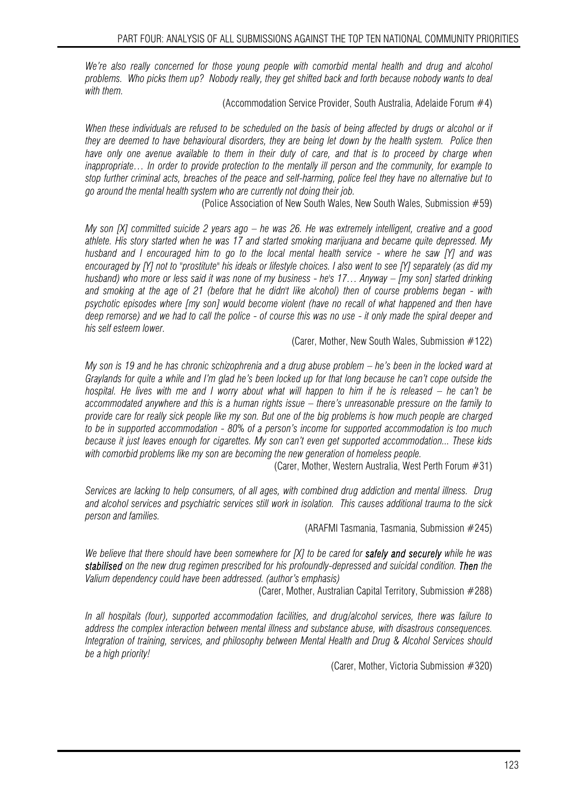We're also really concerned for those young people with comorbid mental health and drug and alcohol *problems. Who picks them up? Nobody really, they get shifted back and forth because nobody wants to deal with them.*

(Accommodation Service Provider, South Australia, Adelaide Forum #4)

*When these individuals are refused to be scheduled on the basis of being affected by drugs or alcohol or if they are deemed to have behavioural disorders, they are being let down by the health system. Police then*  have only one avenue available to them in their duty of care, and that is to proceed by charge when *inappropriate… In order to provide protection to the mentally ill person and the community, for example to stop further criminal acts, breaches of the peace and self-harming, police feel they have no alternative but to go around the mental health system who are currently not doing their job.* 

(Police Association of New South Wales, New South Wales, Submission #59)

*My son [X] committed suicide 2 years ago – he was 26. He was extremely intelligent, creative and a good athlete. His story started when he was 17 and started smoking marijuana and became quite depressed. My husband and I encouraged him to go to the local mental health service - where he saw [Y] and was encouraged by [Y] not to "prostitute" his ideals or lifestyle choices. I also went to see [Y] separately (as did my husband) who more or less said it was none of my business - he's 17… Anyway – [my son] started drinking and smoking at the age of 21 (before that he didn't like alcohol) then of course problems began - with psychotic episodes where [my son] would become violent (have no recall of what happened and then have deep remorse) and we had to call the police - of course this was no use - it only made the spiral deeper and his self esteem lower.* 

(Carer, Mother, New South Wales, Submission #122)

*My son is 19 and he has chronic schizophrenia and a drug abuse problem – he's been in the locked ward at Graylands for quite a while and I'm glad he's been locked up for that long because he can't cope outside the hospital. He lives with me and I worry about what will happen to him if he is released – he can't be accommodated anywhere and this is a human rights issue – there's unreasonable pressure on the family to provide care for really sick people like my son. But one of the big problems is how much people are charged to be in supported accommodation - 80% of a person's income for supported accommodation is too much because it just leaves enough for cigarettes. My son can't even get supported accommodation... These kids with comorbid problems like my son are becoming the new generation of homeless people.* 

(Carer, Mother, Western Australia, West Perth Forum #31)

*Services are lacking to help consumers, of all ages, with combined drug addiction and mental illness. Drug and alcohol services and psychiatric services still work in isolation. This causes additional trauma to the sick person and families.* 

(ARAFMI Tasmania, Tasmania, Submission #245)

*We believe that there should have been somewhere for [X] to be cared for safely and securely while he was stabilised on the new drug regimen prescribed for his profoundly-depressed and suicidal condition. Then the Valium dependency could have been addressed. (author's emphasis)* 

(Carer, Mother, Australian Capital Territory, Submission #288)

*In all hospitals (four), supported accommodation facilities, and drug/alcohol services, there was failure to address the complex interaction between mental illness and substance abuse, with disastrous consequences. Integration of training, services, and philosophy between Mental Health and Drug & Alcohol Services should be a high priority!* 

(Carer, Mother, Victoria Submission #320)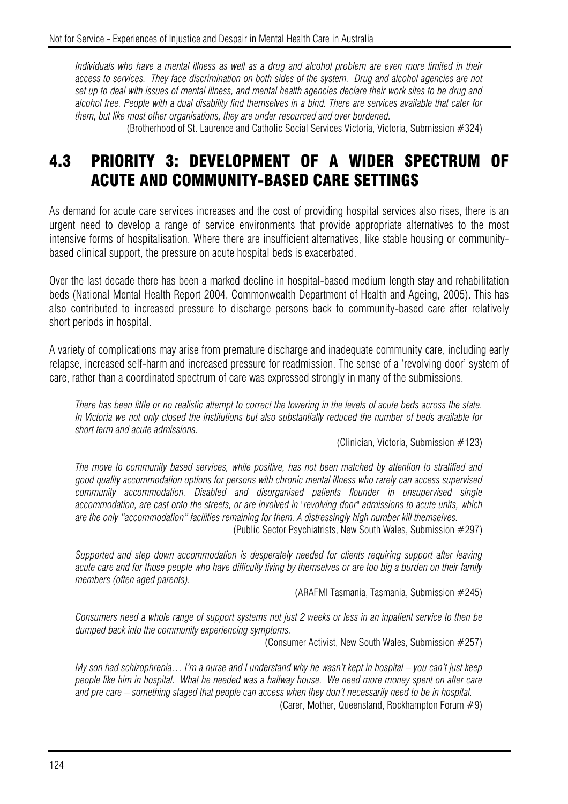*Individuals who have a mental illness as well as a drug and alcohol problem are even more limited in their access to services. They face discrimination on both sides of the system. Drug and alcohol agencies are not set up to deal with issues of mental illness, and mental health agencies declare their work sites to be drug and alcohol free. People with a dual disability find themselves in a bind. There are services available that cater for them, but like most other organisations, they are under resourced and over burdened.* 

(Brotherhood of St. Laurence and Catholic Social Services Victoria, Victoria, Submission #324)

# 4.3 PRIORITY 3: DEVELOPMENT OF A WIDER SPECTRUM OF ACUTE AND COMMUNITY-BASED CARE SETTINGS

As demand for acute care services increases and the cost of providing hospital services also rises, there is an urgent need to develop a range of service environments that provide appropriate alternatives to the most intensive forms of hospitalisation. Where there are insufficient alternatives, like stable housing or communitybased clinical support, the pressure on acute hospital beds is exacerbated.

Over the last decade there has been a marked decline in hospital-based medium length stay and rehabilitation beds (National Mental Health Report 2004, Commonwealth Department of Health and Ageing, 2005). This has also contributed to increased pressure to discharge persons back to community-based care after relatively short periods in hospital.

A variety of complications may arise from premature discharge and inadequate community care, including early relapse, increased self-harm and increased pressure for readmission. The sense of a 'revolving door' system of care, rather than a coordinated spectrum of care was expressed strongly in many of the submissions.

*There has been little or no realistic attempt to correct the lowering in the levels of acute beds across the state. In Victoria we not only closed the institutions but also substantially reduced the number of beds available for short term and acute admissions.* 

(Clinician, Victoria, Submission #123)

*The move to community based services, while positive, has not been matched by attention to stratified and good quality accommodation options for persons with chronic mental illness who rarely can access supervised community accommodation. Disabled and disorganised patients flounder in unsupervised single accommodation, are cast onto the streets, or are involved in "revolving door" admissions to acute units, which are the only "accommodation" facilities remaining for them. A distressingly high number kill themselves.* 

(Public Sector Psychiatrists, New South Wales, Submission #297)

*Supported and step down accommodation is desperately needed for clients requiring support after leaving acute care and for those people who have difficulty living by themselves or are too big a burden on their family members (often aged parents).* 

(ARAFMI Tasmania, Tasmania, Submission #245)

*Consumers need a whole range of support systems not just 2 weeks or less in an inpatient service to then be dumped back into the community experiencing symptoms.* 

(Consumer Activist, New South Wales, Submission #257)

*My son had schizophrenia… I'm a nurse and I understand why he wasn't kept in hospital – you can't just keep people like him in hospital. What he needed was a halfway house. We need more money spent on after care and pre care – something staged that people can access when they don't necessarily need to be in hospital.*  (Carer, Mother, Queensland, Rockhampton Forum #9)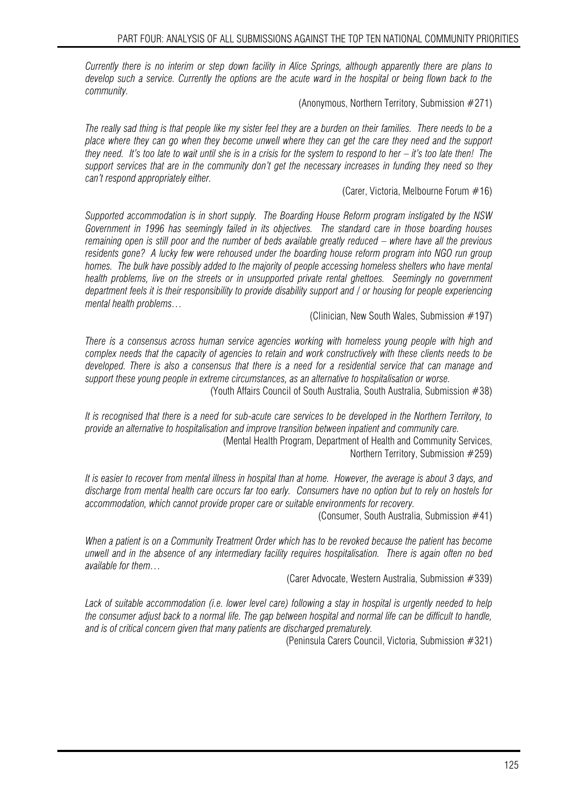*Currently there is no interim or step down facility in Alice Springs, although apparently there are plans to develop such a service. Currently the options are the acute ward in the hospital or being flown back to the community.* 

(Anonymous, Northern Territory, Submission #271)

*The really sad thing is that people like my sister feel they are a burden on their families. There needs to be a place where they can go when they become unwell where they can get the care they need and the support they need. It's too late to wait until she is in a crisis for the system to respond to her – it's too late then! The support services that are in the community don't get the necessary increases in funding they need so they can't respond appropriately either.* 

(Carer, Victoria, Melbourne Forum #16)

*Supported accommodation is in short supply. The Boarding House Reform program instigated by the NSW Government in 1996 has seemingly failed in its objectives. The standard care in those boarding houses remaining open is still poor and the number of beds available greatly reduced – where have all the previous residents gone? A lucky few were rehoused under the boarding house reform program into NGO run group homes. The bulk have possibly added to the majority of people accessing homeless shelters who have mental health problems, live on the streets or in unsupported private rental ghettoes. Seemingly no government department feels it is their responsibility to provide disability support and / or housing for people experiencing mental health problems…* 

(Clinician, New South Wales, Submission #197)

*There is a consensus across human service agencies working with homeless young people with high and complex needs that the capacity of agencies to retain and work constructively with these clients needs to be developed. There is also a consensus that there is a need for a residential service that can manage and support these young people in extreme circumstances, as an alternative to hospitalisation or worse.* 

(Youth Affairs Council of South Australia, South Australia, Submission #38)

*It is recognised that there is a need for sub-acute care services to be developed in the Northern Territory, to provide an alternative to hospitalisation and improve transition between inpatient and community care.* 

(Mental Health Program, Department of Health and Community Services, Northern Territory, Submission #259)

*It is easier to recover from mental illness in hospital than at home. However, the average is about 3 days, and discharge from mental health care occurs far too early. Consumers have no option but to rely on hostels for accommodation, which cannot provide proper care or suitable environments for recovery.* 

(Consumer, South Australia, Submission #41)

*When a patient is on a Community Treatment Order which has to be revoked because the patient has become unwell and in the absence of any intermediary facility requires hospitalisation. There is again often no bed available for them…* 

(Carer Advocate, Western Australia, Submission #339)

Lack of suitable accommodation (i.e. lower level care) following a stay in hospital is urgently needed to help *the consumer adjust back to a normal life. The gap between hospital and normal life can be difficult to handle, and is of critical concern given that many patients are discharged prematurely.* 

(Peninsula Carers Council, Victoria, Submission #321)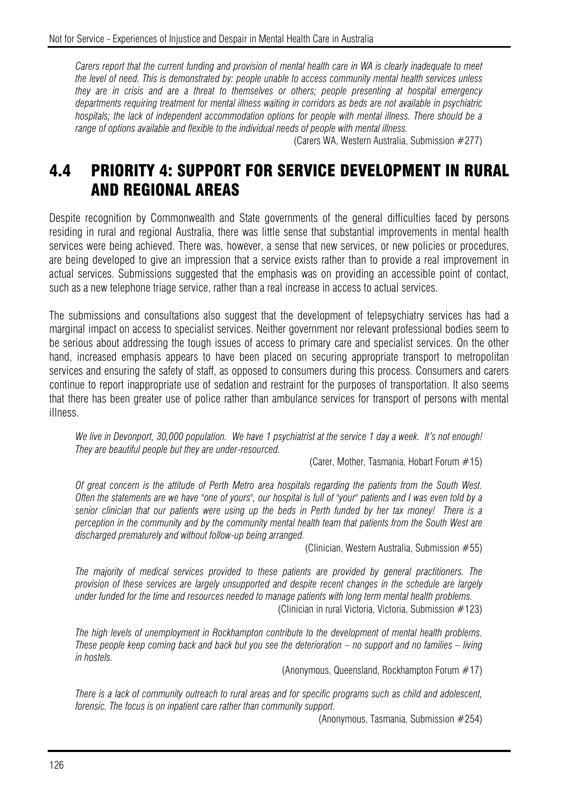*Carers report that the current funding and provision of mental health care in WA is clearly inadequate to meet the level of need. This is demonstrated by: people unable to access community mental health services unless they are in crisis and are a threat to themselves or others; people presenting at hospital emergency departments requiring treatment for mental illness waiting in corridors as beds are not available in psychiatric hospitals; the lack of independent accommodation options for people with mental illness. There should be a range of options available and flexible to the individual needs of people with mental illness.* 

(Carers WA, Western Australia, Submission #277)

# 4.4 PRIORITY 4: SUPPORT FOR SERVICE DEVELOPMENT IN RURAL AND REGIONAL AREAS

Despite recognition by Commonwealth and State governments of the general difficulties faced by persons residing in rural and regional Australia, there was little sense that substantial improvements in mental health services were being achieved. There was, however, a sense that new services, or new policies or procedures, are being developed to give an impression that a service exists rather than to provide a real improvement in actual services. Submissions suggested that the emphasis was on providing an accessible point of contact, such as a new telephone triage service, rather than a real increase in access to actual services.

The submissions and consultations also suggest that the development of telepsychiatry services has had a marginal impact on access to specialist services. Neither government nor relevant professional bodies seem to be serious about addressing the tough issues of access to primary care and specialist services. On the other hand, increased emphasis appears to have been placed on securing appropriate transport to metropolitan services and ensuring the safety of staff, as opposed to consumers during this process. Consumers and carers continue to report inappropriate use of sedation and restraint for the purposes of transportation. It also seems that there has been greater use of police rather than ambulance services for transport of persons with mental illness.

*We live in Devonport, 30,000 population. We have 1 psychiatrist at the service 1 day a week. It's not enough! They are beautiful people but they are under-resourced.* 

(Carer, Mother, Tasmania, Hobart Forum #15)

*Of great concern is the attitude of Perth Metro area hospitals regarding the patients from the South West. Often the statements are we have "one of yours", our hospital is full of "your" patients and I was even told by a senior clinician that our patients were using up the beds in Perth funded by her tax money! There is a perception in the community and by the community mental health team that patients from the South West are discharged prematurely and without follow-up being arranged.* 

(Clinician, Western Australia, Submission #55)

*The majority of medical services provided to these patients are provided by general practitioners. The provision of these services are largely unsupported and despite recent changes in the schedule are largely under funded for the time and resources needed to manage patients with long term mental health problems.*  (Clinician in rural Victoria, Victoria, Submission #123)

*The high levels of unemployment in Rockhampton contribute to the development of mental health problems. These people keep coming back and back but you see the deterioration – no support and no families – living in hostels.* 

(Anonymous, Queensland, Rockhampton Forum #17)

*There is a lack of community outreach to rural areas and for specific programs such as child and adolescent, forensic. The focus is on inpatient care rather than community support.* 

(Anonymous, Tasmania, Submission #254)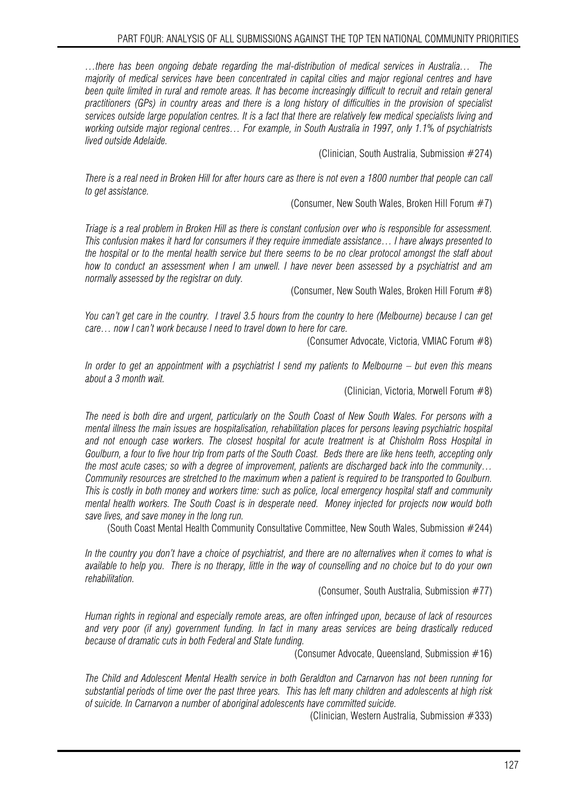*…there has been ongoing debate regarding the mal-distribution of medical services in Australia… The majority of medical services have been concentrated in capital cities and major regional centres and have*  been quite limited in rural and remote areas. It has become increasingly difficult to recruit and retain general *practitioners (GPs) in country areas and there is a long history of difficulties in the provision of specialist services outside large population centres. It is a fact that there are relatively few medical specialists living and working outside major regional centres… For example, in South Australia in 1997, only 1.1% of psychiatrists lived outside Adelaide.* 

(Clinician, South Australia, Submission #274)

*There is a real need in Broken Hill for after hours care as there is not even a 1800 number that people can call to get assistance.* 

(Consumer, New South Wales, Broken Hill Forum #7)

*Triage is a real problem in Broken Hill as there is constant confusion over who is responsible for assessment. This confusion makes it hard for consumers if they require immediate assistance… I have always presented to the hospital or to the mental health service but there seems to be no clear protocol amongst the staff about how to conduct an assessment when I am unwell. I have never been assessed by a psychiatrist and am normally assessed by the registrar on duty.* 

(Consumer, New South Wales, Broken Hill Forum #8)

*You can't get care in the country. I travel 3.5 hours from the country to here (Melbourne) because I can get care… now I can't work because I need to travel down to here for care.* 

(Consumer Advocate, Victoria, VMIAC Forum #8)

*In order to get an appointment with a psychiatrist I send my patients to Melbourne – but even this means about a 3 month wait.* 

(Clinician, Victoria, Morwell Forum #8)

*The need is both dire and urgent, particularly on the South Coast of New South Wales. For persons with a mental illness the main issues are hospitalisation, rehabilitation places for persons leaving psychiatric hospital and not enough case workers. The closest hospital for acute treatment is at Chisholm Ross Hospital in Goulburn, a four to five hour trip from parts of the South Coast. Beds there are like hens teeth, accepting only the most acute cases; so with a degree of improvement, patients are discharged back into the community… Community resources are stretched to the maximum when a patient is required to be transported to Goulburn. This is costly in both money and workers time: such as police, local emergency hospital staff and community mental health workers. The South Coast is in desperate need. Money injected for projects now would both save lives, and save money in the long run.* 

(South Coast Mental Health Community Consultative Committee, New South Wales, Submission #244)

*In the country you don't have a choice of psychiatrist, and there are no alternatives when it comes to what is available to help you. There is no therapy, little in the way of counselling and no choice but to do your own rehabilitation.* 

(Consumer, South Australia, Submission #77)

*Human rights in regional and especially remote areas, are often infringed upon, because of lack of resources and very poor (if any) government funding. In fact in many areas services are being drastically reduced because of dramatic cuts in both Federal and State funding.* 

(Consumer Advocate, Queensland, Submission #16)

*The Child and Adolescent Mental Health service in both Geraldton and Carnarvon has not been running for substantial periods of time over the past three years. This has left many children and adolescents at high risk of suicide. In Carnarvon a number of aboriginal adolescents have committed suicide.* 

(Clinician, Western Australia, Submission #333)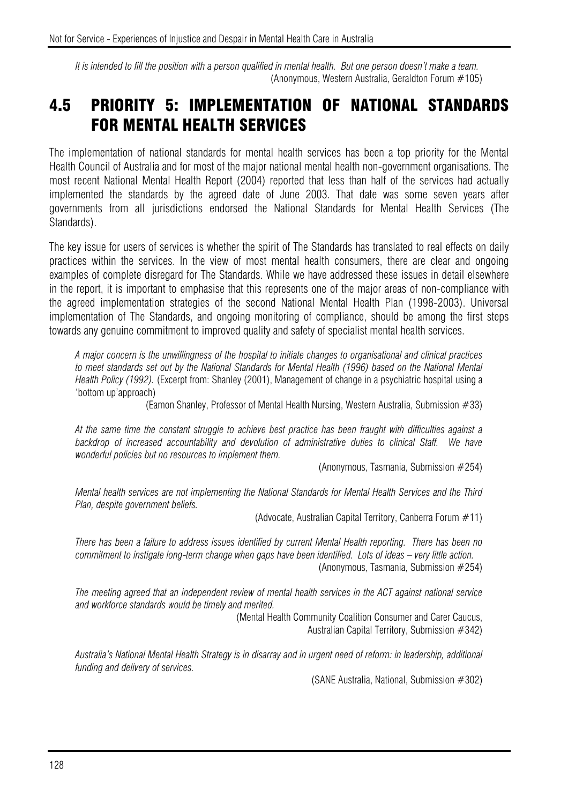*It is intended to fill the position with a person qualified in mental health. But one person doesn't make a team.*  (Anonymous, Western Australia, Geraldton Forum #105)

#### 4.5 PRIORITY 5: IMPLEMENTATION OF NATIONAL STANDARDS FOR MENTAL HEALTH SERVICES

The implementation of national standards for mental health services has been a top priority for the Mental Health Council of Australia and for most of the major national mental health non-government organisations. The most recent National Mental Health Report (2004) reported that less than half of the services had actually implemented the standards by the agreed date of June 2003. That date was some seven years after governments from all jurisdictions endorsed the National Standards for Mental Health Services (The Standards).

The key issue for users of services is whether the spirit of The Standards has translated to real effects on daily practices within the services. In the view of most mental health consumers, there are clear and ongoing examples of complete disregard for The Standards. While we have addressed these issues in detail elsewhere in the report, it is important to emphasise that this represents one of the major areas of non-compliance with the agreed implementation strategies of the second National Mental Health Plan (1998-2003). Universal implementation of The Standards, and ongoing monitoring of compliance, should be among the first steps towards any genuine commitment to improved quality and safety of specialist mental health services.

*A major concern is the unwillingness of the hospital to initiate changes to organisational and clinical practices to meet standards set out by the National Standards for Mental Health (1996) based on the National Mental Health Policy (1992).* (Excerpt from: Shanley (2001), Management of change in a psychiatric hospital using a 'bottom up'approach)

(Eamon Shanley, Professor of Mental Health Nursing, Western Australia, Submission #33)

*At the same time the constant struggle to achieve best practice has been fraught with difficulties against a*  backdrop of increased accountability and devolution of administrative duties to clinical Staff. We have *wonderful policies but no resources to implement them.* 

(Anonymous, Tasmania, Submission #254)

*Mental health services are not implementing the National Standards for Mental Health Services and the Third Plan, despite government beliefs.* 

(Advocate, Australian Capital Territory, Canberra Forum #11)

*There has been a failure to address issues identified by current Mental Health reporting. There has been no commitment to instigate long-term change when gaps have been identified. Lots of ideas – very little action.*  (Anonymous, Tasmania, Submission #254)

*The meeting agreed that an independent review of mental health services in the ACT against national service and workforce standards would be timely and merited.* 

(Mental Health Community Coalition Consumer and Carer Caucus, Australian Capital Territory, Submission #342)

*Australia's National Mental Health Strategy is in disarray and in urgent need of reform: in leadership, additional funding and delivery of services.* 

(SANE Australia, National, Submission #302)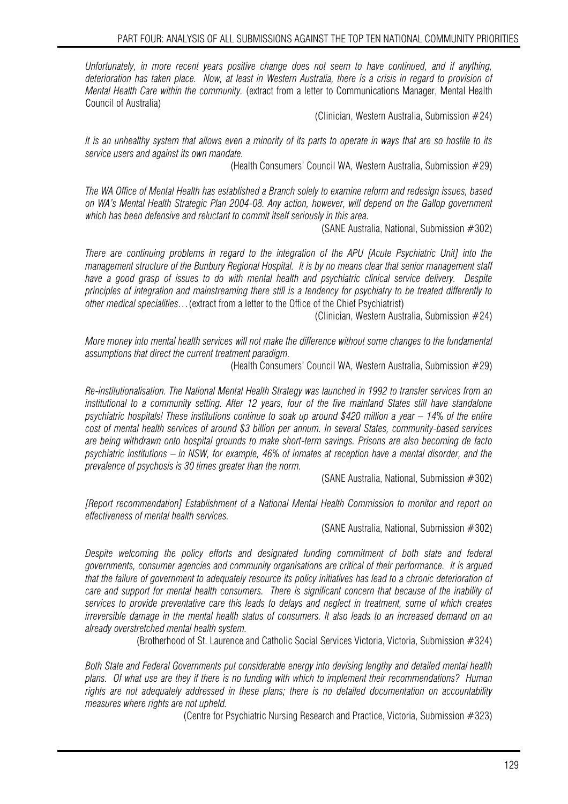*Unfortunately, in more recent years positive change does not seem to have continued, and if anything,*  deterioration has taken place. Now, at least in Western Australia, there is a crisis in regard to provision of *Mental Health Care within the community.* (extract from a letter to Communications Manager, Mental Health Council of Australia)

(Clinician, Western Australia, Submission #24)

*It is an unhealthy system that allows even a minority of its parts to operate in ways that are so hostile to its service users and against its own mandate.* 

(Health Consumers' Council WA, Western Australia, Submission #29)

*The WA Office of Mental Health has established a Branch solely to examine reform and redesign issues, based on WA's Mental Health Strategic Plan 2004-08. Any action, however, will depend on the Gallop government which has been defensive and reluctant to commit itself seriously in this area.* 

(SANE Australia, National, Submission #302)

*There are continuing problems in regard to the integration of the APU [Acute Psychiatric Unit] into the management structure of the Bunbury Regional Hospital. It is by no means clear that senior management staff have a good grasp of issues to do with mental health and psychiatric clinical service delivery. Despite principles of integration and mainstreaming there still is a tendency for psychiatry to be treated differently to other medical specialities…*(extract from a letter to the Office of the Chief Psychiatrist)

(Clinician, Western Australia, Submission #24)

*More money into mental health services will not make the difference without some changes to the fundamental assumptions that direct the current treatment paradigm.* 

(Health Consumers' Council WA, Western Australia, Submission #29)

*Re-institutionalisation. The National Mental Health Strategy was launched in 1992 to transfer services from an institutional to a community setting. After 12 years, four of the five mainland States still have standalone psychiatric hospitals! These institutions continue to soak up around \$420 million a year – 14% of the entire cost of mental health services of around \$3 billion per annum. In several States, community-based services are being withdrawn onto hospital grounds to make short-term savings. Prisons are also becoming de facto psychiatric institutions – in NSW, for example, 46% of inmates at reception have a mental disorder, and the prevalence of psychosis is 30 times greater than the norm.* 

(SANE Australia, National, Submission #302)

*[Report recommendation] Establishment of a National Mental Health Commission to monitor and report on effectiveness of mental health services.* 

(SANE Australia, National, Submission #302)

*Despite welcoming the policy efforts and designated funding commitment of both state and federal governments, consumer agencies and community organisations are critical of their performance. It is argued that the failure of government to adequately resource its policy initiatives has lead to a chronic deterioration of care and support for mental health consumers. There is significant concern that because of the inability of services to provide preventative care this leads to delays and neglect in treatment, some of which creates irreversible damage in the mental health status of consumers. It also leads to an increased demand on an already overstretched mental health system.* 

(Brotherhood of St. Laurence and Catholic Social Services Victoria, Victoria, Submission #324)

*Both State and Federal Governments put considerable energy into devising lengthy and detailed mental health plans. Of what use are they if there is no funding with which to implement their recommendations? Human rights are not adequately addressed in these plans; there is no detailed documentation on accountability measures where rights are not upheld.* 

(Centre for Psychiatric Nursing Research and Practice, Victoria, Submission #323)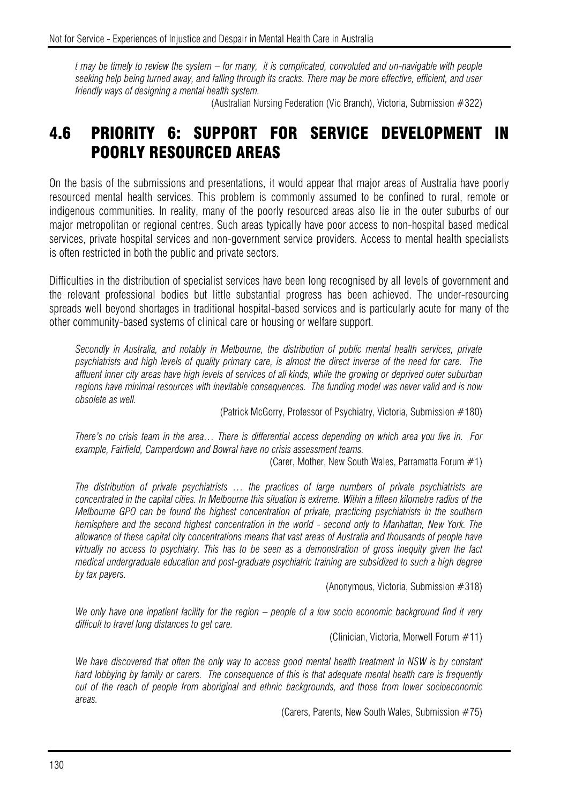*t may be timely to review the system – for many, it is complicated, convoluted and un-navigable with people seeking help being turned away, and falling through its cracks. There may be more effective, efficient, and user friendly ways of designing a mental health system.*

(Australian Nursing Federation (Vic Branch), Victoria, Submission #322)

# 4.6 PRIORITY 6: SUPPORT FOR SERVICE DEVELOPMENT IN POORLY RESOURCED AREAS

On the basis of the submissions and presentations, it would appear that major areas of Australia have poorly resourced mental health services. This problem is commonly assumed to be confined to rural, remote or indigenous communities. In reality, many of the poorly resourced areas also lie in the outer suburbs of our major metropolitan or regional centres. Such areas typically have poor access to non-hospital based medical services, private hospital services and non-government service providers. Access to mental health specialists is often restricted in both the public and private sectors.

Difficulties in the distribution of specialist services have been long recognised by all levels of government and the relevant professional bodies but little substantial progress has been achieved. The under-resourcing spreads well beyond shortages in traditional hospital-based services and is particularly acute for many of the other community-based systems of clinical care or housing or welfare support.

*Secondly in Australia, and notably in Melbourne, the distribution of public mental health services, private psychiatrists and high levels of quality primary care, is almost the direct inverse of the need for care. The affluent inner city areas have high levels of services of all kinds, while the growing or deprived outer suburban regions have minimal resources with inevitable consequences. The funding model was never valid and is now obsolete as well.* 

(Patrick McGorry, Professor of Psychiatry, Victoria, Submission #180)

*There's no crisis team in the area… There is differential access depending on which area you live in. For example, Fairfield, Camperdown and Bowral have no crisis assessment teams.* 

(Carer, Mother, New South Wales, Parramatta Forum  $#1$ )

*The distribution of private psychiatrists … the practices of large numbers of private psychiatrists are concentrated in the capital cities. In Melbourne this situation is extreme. Within a fifteen kilometre radius of the Melbourne GPO can be found the highest concentration of private, practicing psychiatrists in the southern hemisphere and the second highest concentration in the world - second only to Manhattan, New York. The allowance of these capital city concentrations means that vast areas of Australia and thousands of people have virtually no access to psychiatry. This has to be seen as a demonstration of gross inequity given the fact medical undergraduate education and post-graduate psychiatric training are subsidized to such a high degree by tax payers.* 

(Anonymous, Victoria, Submission #318)

*We only have one inpatient facility for the region – people of a low socio economic background find it very difficult to travel long distances to get care.* 

(Clinician, Victoria, Morwell Forum #11)

We have discovered that often the only way to access good mental health treatment in NSW is by constant *hard lobbying by family or carers. The consequence of this is that adequate mental health care is frequently out of the reach of people from aboriginal and ethnic backgrounds, and those from lower socioeconomic areas.* 

(Carers, Parents, New South Wales, Submission #75)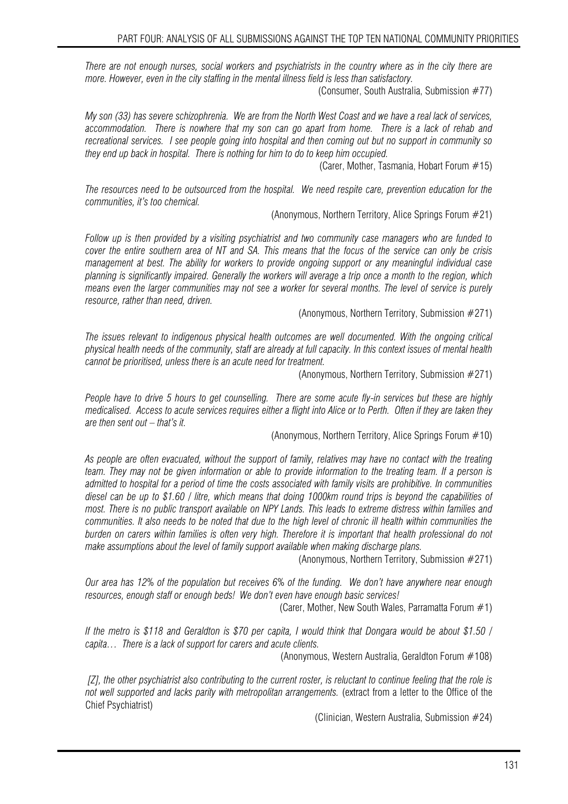*There are not enough nurses, social workers and psychiatrists in the country where as in the city there are more. However, even in the city staffing in the mental illness field is less than satisfactory.* 

(Consumer, South Australia, Submission #77)

*My son (33) has severe schizophrenia. We are from the North West Coast and we have a real lack of services, accommodation. There is nowhere that my son can go apart from home. There is a lack of rehab and recreational services. I see people going into hospital and then coming out but no support in community so they end up back in hospital. There is nothing for him to do to keep him occupied.* 

(Carer, Mother, Tasmania, Hobart Forum #15)

*The resources need to be outsourced from the hospital. We need respite care, prevention education for the communities, it's too chemical.* 

(Anonymous, Northern Territory, Alice Springs Forum #21)

*Follow up is then provided by a visiting psychiatrist and two community case managers who are funded to cover the entire southern area of NT and SA. This means that the focus of the service can only be crisis management at best. The ability for workers to provide ongoing support or any meaningful individual case planning is significantly impaired. Generally the workers will average a trip once a month to the region, which means even the larger communities may not see a worker for several months. The level of service is purely resource, rather than need, driven.* 

(Anonymous, Northern Territory, Submission #271)

*The issues relevant to indigenous physical health outcomes are well documented. With the ongoing critical physical health needs of the community, staff are already at full capacity. In this context issues of mental health cannot be prioritised, unless there is an acute need for treatment.* 

(Anonymous, Northern Territory, Submission #271)

*People have to drive 5 hours to get counselling. There are some acute fly-in services but these are highly medicalised. Access to acute services requires either a flight into Alice or to Perth. Often if they are taken they are then sent out – that's it.* 

(Anonymous, Northern Territory, Alice Springs Forum #10)

*As people are often evacuated, without the support of family, relatives may have no contact with the treating team. They may not be given information or able to provide information to the treating team. If a person is admitted to hospital for a period of time the costs associated with family visits are prohibitive. In communities diesel can be up to \$1.60 / litre, which means that doing 1000km round trips is beyond the capabilities of most. There is no public transport available on NPY Lands. This leads to extreme distress within families and communities. It also needs to be noted that due to the high level of chronic ill health within communities the burden on carers within families is often very high. Therefore it is important that health professional do not make assumptions about the level of family support available when making discharge plans.* 

(Anonymous, Northern Territory, Submission #271)

*Our area has 12% of the population but receives 6% of the funding. We don't have anywhere near enough resources, enough staff or enough beds! We don't even have enough basic services!* 

(Carer, Mother, New South Wales, Parramatta Forum #1)

*If the metro is \$118 and Geraldton is \$70 per capita, I would think that Dongara would be about \$1.50 / capita… There is a lack of support for carers and acute clients.* 

(Anonymous, Western Australia, Geraldton Forum #108)

 *[Z], the other psychiatrist also contributing to the current roster, is reluctant to continue feeling that the role is not well supported and lacks parity with metropolitan arrangements.* (extract from a letter to the Office of the Chief Psychiatrist)

(Clinician, Western Australia, Submission #24)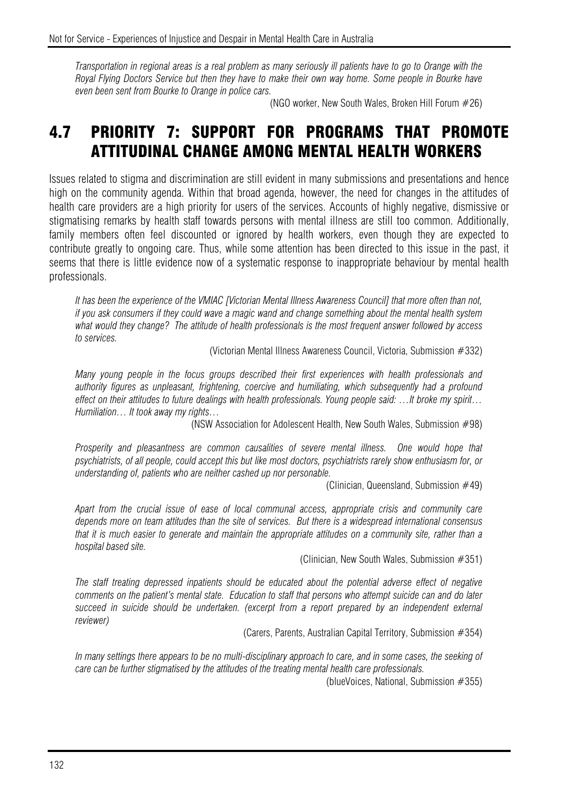*Transportation in regional areas is a real problem as many seriously ill patients have to go to Orange with the Royal Flying Doctors Service but then they have to make their own way home. Some people in Bourke have even been sent from Bourke to Orange in police cars.* 

(NGO worker, New South Wales, Broken Hill Forum #26)

# 4.7 PRIORITY 7: SUPPORT FOR PROGRAMS THAT PROMOTE ATTITUDINAL CHANGE AMONG MENTAL HEALTH WORKERS

Issues related to stigma and discrimination are still evident in many submissions and presentations and hence high on the community agenda. Within that broad agenda, however, the need for changes in the attitudes of health care providers are a high priority for users of the services. Accounts of highly negative, dismissive or stigmatising remarks by health staff towards persons with mental illness are still too common. Additionally, family members often feel discounted or ignored by health workers, even though they are expected to contribute greatly to ongoing care. Thus, while some attention has been directed to this issue in the past, it seems that there is little evidence now of a systematic response to inappropriate behaviour by mental health professionals.

*It has been the experience of the VMIAC [Victorian Mental Illness Awareness Council] that more often than not, if you ask consumers if they could wave a magic wand and change something about the mental health system what would they change? The attitude of health professionals is the most frequent answer followed by access to services.* 

(Victorian Mental Illness Awareness Council, Victoria, Submission #332)

*Many young people in the focus groups described their first experiences with health professionals and authority figures as unpleasant, frightening, coercive and humiliating, which subsequently had a profound effect on their attitudes to future dealings with health professionals. Young people said: …It broke my spirit… Humiliation… It took away my rights…* 

(NSW Association for Adolescent Health, New South Wales, Submission #98)

*Prosperity and pleasantness are common causalities of severe mental illness. One would hope that psychiatrists, of all people, could accept this but like most doctors, psychiatrists rarely show enthusiasm for, or understanding of, patients who are neither cashed up nor personable.* 

(Clinician, Queensland, Submission  $#49$ )

*Apart from the crucial issue of ease of local communal access, appropriate crisis and community care depends more on team attitudes than the site of services. But there is a widespread international consensus that it is much easier to generate and maintain the appropriate attitudes on a community site, rather than a hospital based site.* 

(Clinician, New South Wales, Submission #351)

*The staff treating depressed inpatients should be educated about the potential adverse effect of negative comments on the patient's mental state. Education to staff that persons who attempt suicide can and do later succeed in suicide should be undertaken. (excerpt from a report prepared by an independent external reviewer)*

(Carers, Parents, Australian Capital Territory, Submission #354)

*In many settings there appears to be no multi-disciplinary approach to care, and in some cases, the seeking of care can be further stigmatised by the attitudes of the treating mental health care professionals.* 

(blueVoices, National, Submission #355)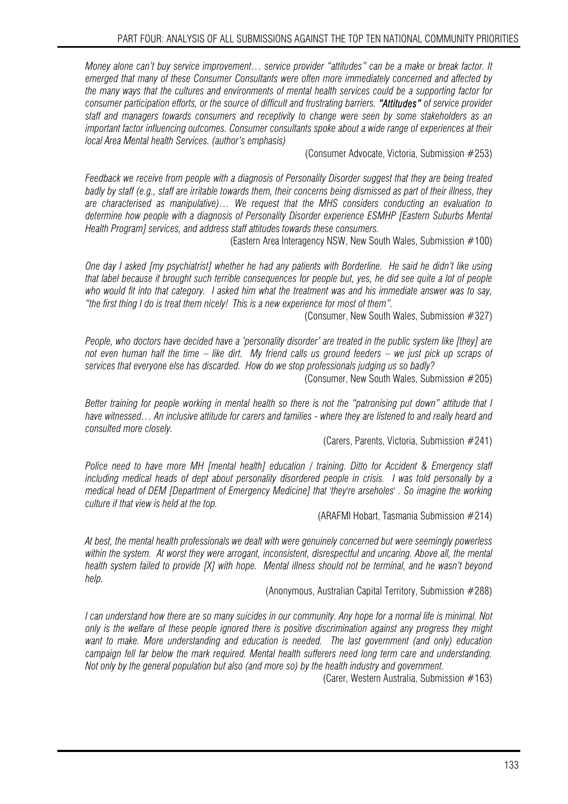*Money alone can't buy service improvement… service provider "attitudes" can be a make or break factor. It emerged that many of these Consumer Consultants were often more immediately concerned and affected by the many ways that the cultures and environments of mental health services could be a supporting factor for consumer participation efforts, or the source of difficult and frustrating barriers. "Attitudes" of service provider staff and managers towards consumers and receptivity to change were seen by some stakeholders as an important factor influencing outcomes. Consumer consultants spoke about a wide range of experiences at their local Area Mental health Services. (author's emphasis)* 

(Consumer Advocate, Victoria, Submission #253)

*Feedback we receive from people with a diagnosis of Personality Disorder suggest that they are being treated badly by staff (e.g., staff are irritable towards them, their concerns being dismissed as part of their illness, they are characterised as manipulative)… We request that the MHS considers conducting an evaluation to determine how people with a diagnosis of Personality Disorder experience ESMHP [Eastern Suburbs Mental Health Program] services, and address staff attitudes towards these consumers.* 

(Eastern Area Interagency NSW, New South Wales, Submission #100)

*One day I asked [my psychiatrist] whether he had any patients with Borderline. He said he didn't like using that label because it brought such terrible consequences for people but, yes, he did see quite a lot of people who would fit into that category. I asked him what the treatment was and his immediate answer was to say, "the first thing I do is treat them nicely! This is a new experience for most of them".* 

(Consumer, New South Wales, Submission #327)

*People, who doctors have decided have a 'personality disorder' are treated in the public system like [they] are not even human half the time – like dirt. My friend calls us ground feeders – we just pick up scraps of services that everyone else has discarded. How do we stop professionals judging us so badly?* 

(Consumer, New South Wales, Submission #205)

*Better training for people working in mental health so there is not the "patronising put down" attitude that I*  have witnessed... An inclusive attitude for carers and families - where they are listened to and really heard and *consulted more closely.* 

(Carers, Parents, Victoria, Submission #241)

*Police need to have more MH [mental health] education / training. Ditto for Accident & Emergency staff including medical heads of dept about personality disordered people in crisis. I was told personally by a medical head of DEM [Department of Emergency Medicine] that 'they're arseholes' . So imagine the working culture if that view is held at the top.* 

(ARAFMI Hobart, Tasmania Submission #214)

*At best, the mental health professionals we dealt with were genuinely concerned but were seemingly powerless*  within the system. At worst they were arrogant, inconsistent, disrespectful and uncaring. Above all, the mental *health system failed to provide [X] with hope. Mental illness should not be terminal, and he wasn't beyond help.* 

(Anonymous, Australian Capital Territory, Submission #288)

*I can understand how there are so many suicides in our community. Any hope for a normal life is minimal. Not only is the welfare of these people ignored there is positive discrimination against any progress they might want to make. More understanding and education is needed. The last government (and only) education campaign fell far below the mark required. Mental health sufferers need long term care and understanding. Not only by the general population but also (and more so) by the health industry and government.* 

(Carer, Western Australia, Submission #163)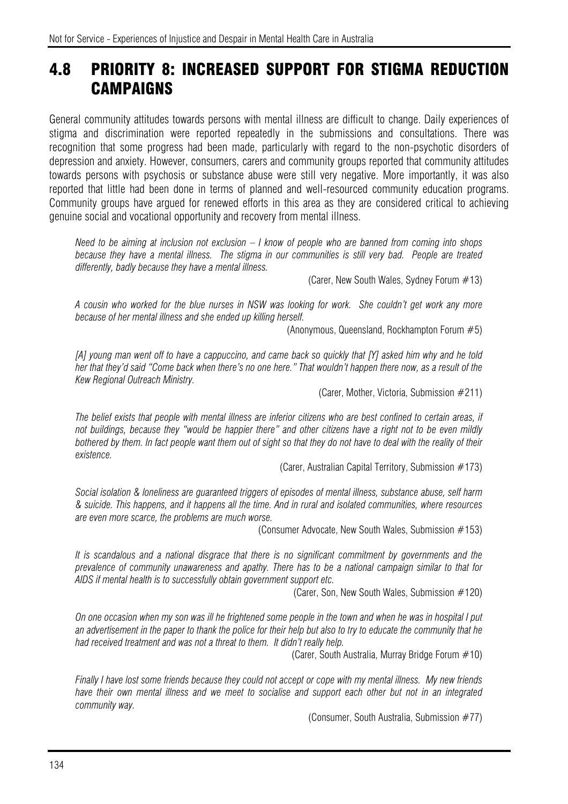# 4.8 PRIORITY 8: INCREASED SUPPORT FOR STIGMA REDUCTION CAMPAIGNS

General community attitudes towards persons with mental illness are difficult to change. Daily experiences of stigma and discrimination were reported repeatedly in the submissions and consultations. There was recognition that some progress had been made, particularly with regard to the non-psychotic disorders of depression and anxiety. However, consumers, carers and community groups reported that community attitudes towards persons with psychosis or substance abuse were still very negative. More importantly, it was also reported that little had been done in terms of planned and well-resourced community education programs. Community groups have argued for renewed efforts in this area as they are considered critical to achieving genuine social and vocational opportunity and recovery from mental illness.

*Need to be aiming at inclusion not exclusion – I know of people who are banned from coming into shops because they have a mental illness. The stigma in our communities is still very bad. People are treated differently, badly because they have a mental illness.* 

(Carer, New South Wales, Sydney Forum #13)

*A cousin who worked for the blue nurses in NSW was looking for work. She couldn't get work any more because of her mental illness and she ended up killing herself.* 

(Anonymous, Queensland, Rockhampton Forum #5)

*[A] young man went off to have a cappuccino, and came back so quickly that [Y] asked him why and he told her that they'd said "Come back when there's no one here." That wouldn't happen there now, as a result of the Kew Regional Outreach Ministry.* 

(Carer, Mother, Victoria, Submission #211)

*The belief exists that people with mental illness are inferior citizens who are best confined to certain areas, if not buildings, because they "would be happier there" and other citizens have a right not to be even mildly bothered by them. In fact people want them out of sight so that they do not have to deal with the reality of their existence.* 

(Carer, Australian Capital Territory, Submission #173)

*Social isolation & loneliness are guaranteed triggers of episodes of mental illness, substance abuse, self harm & suicide. This happens, and it happens all the time. And in rural and isolated communities, where resources are even more scarce, the problems are much worse.* 

(Consumer Advocate, New South Wales, Submission #153)

*It is scandalous and a national disgrace that there is no significant commitment by governments and the prevalence of community unawareness and apathy. There has to be a national campaign similar to that for AIDS if mental health is to successfully obtain government support etc.* 

(Carer, Son, New South Wales, Submission #120)

*On one occasion when my son was ill he frightened some people in the town and when he was in hospital I put an advertisement in the paper to thank the police for their help but also to try to educate the community that he had received treatment and was not a threat to them. It didn't really help.*

(Carer, South Australia, Murray Bridge Forum #10)

*Finally I have lost some friends because they could not accept or cope with my mental illness. My new friends have their own mental illness and we meet to socialise and support each other but not in an integrated community way.* 

(Consumer, South Australia, Submission #77)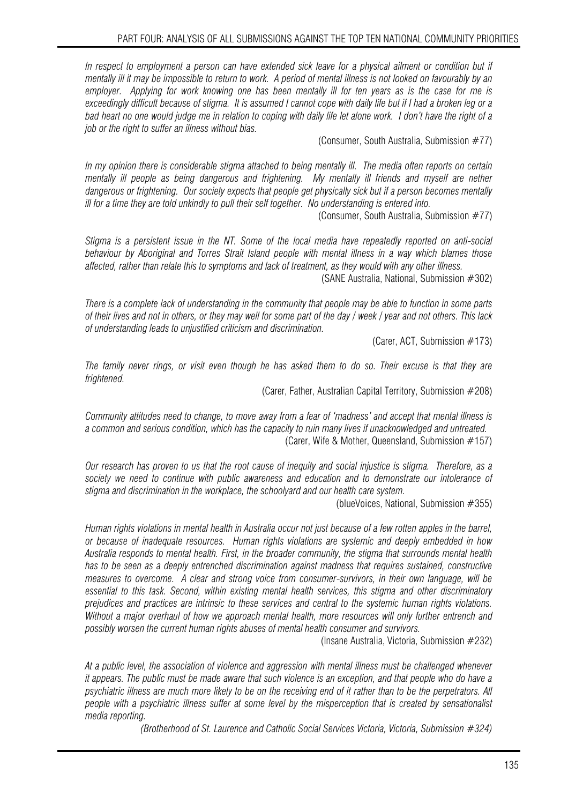*In respect to employment a person can have extended sick leave for a physical ailment or condition but if mentally ill it may be impossible to return to work. A period of mental illness is not looked on favourably by an employer. Applying for work knowing one has been mentally ill for ten years as is the case for me is exceedingly difficult because of stigma. It is assumed I cannot cope with daily life but if I had a broken leg or a bad heart no one would judge me in relation to coping with daily life let alone work. I don't have the right of a job or the right to suffer an illness without bias.* 

(Consumer, South Australia, Submission #77)

*In my opinion there is considerable stigma attached to being mentally ill. The media often reports on certain mentally ill people as being dangerous and frightening. My mentally ill friends and myself are nether dangerous or frightening. Our society expects that people get physically sick but if a person becomes mentally ill for a time they are told unkindly to pull their self together. No understanding is entered into.* 

(Consumer, South Australia, Submission #77)

*Stigma is a persistent issue in the NT. Some of the local media have repeatedly reported on anti-social behaviour by Aboriginal and Torres Strait Island people with mental illness in a way which blames those affected, rather than relate this to symptoms and lack of treatment, as they would with any other illness.* 

(SANE Australia, National, Submission #302)

*There is a complete lack of understanding in the community that people may be able to function in some parts of their lives and not in others, or they may well for some part of the day / week / year and not others. This lack of understanding leads to unjustified criticism and discrimination.*

(Carer, ACT, Submission #173)

*The family never rings, or visit even though he has asked them to do so. Their excuse is that they are frightened.* 

(Carer, Father, Australian Capital Territory, Submission #208)

*Community attitudes need to change, to move away from a fear of 'madness' and accept that mental illness is a common and serious condition, which has the capacity to ruin many lives if unacknowledged and untreated.*  (Carer, Wife & Mother, Queensland, Submission #157)

*Our research has proven to us that the root cause of inequity and social injustice is stigma. Therefore, as a society we need to continue with public awareness and education and to demonstrate our intolerance of stigma and discrimination in the workplace, the schoolyard and our health care system.* 

(blueVoices, National, Submission #355)

*Human rights violations in mental health in Australia occur not just because of a few rotten apples in the barrel, or because of inadequate resources. Human rights violations are systemic and deeply embedded in how Australia responds to mental health. First, in the broader community, the stigma that surrounds mental health has to be seen as a deeply entrenched discrimination against madness that requires sustained, constructive measures to overcome. A clear and strong voice from consumer-survivors, in their own language, will be essential to this task. Second, within existing mental health services, this stigma and other discriminatory prejudices and practices are intrinsic to these services and central to the systemic human rights violations. Without a major overhaul of how we approach mental health, more resources will only further entrench and possibly worsen the current human rights abuses of mental health consumer and survivors.* 

(Insane Australia, Victoria, Submission #232)

*At a public level, the association of violence and aggression with mental illness must be challenged whenever it appears. The public must be made aware that such violence is an exception, and that people who do have a psychiatric illness are much more likely to be on the receiving end of it rather than to be the perpetrators. All people with a psychiatric illness suffer at some level by the misperception that is created by sensationalist media reporting.* 

*(Brotherhood of St. Laurence and Catholic Social Services Victoria, Victoria, Submission #324)*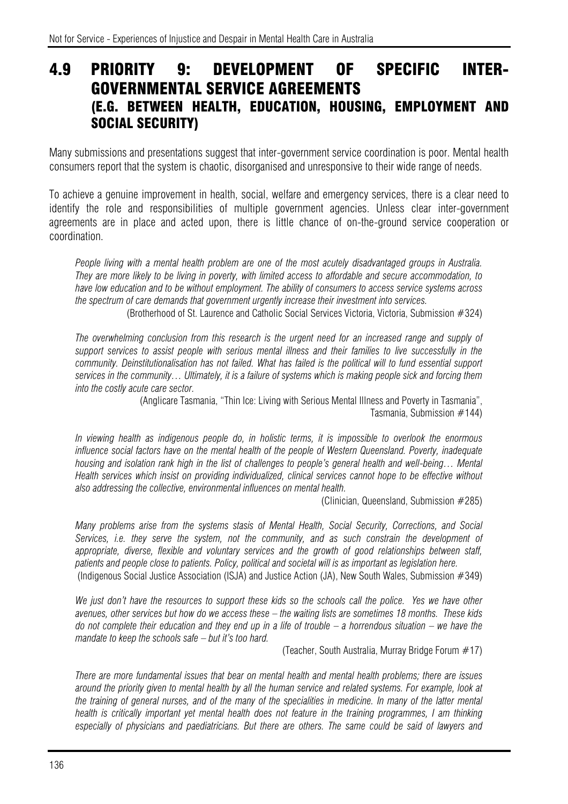#### 4.9 PRIORITY 9: DEVELOPMENT OF SPECIFIC INTER-GOVERNMENTAL SERVICE AGREEMENTS (E.G. BETWEEN HEALTH, EDUCATION, HOUSING, EMPLOYMENT AND SOCIAL SECURITY)

Many submissions and presentations suggest that inter-government service coordination is poor. Mental health consumers report that the system is chaotic, disorganised and unresponsive to their wide range of needs.

To achieve a genuine improvement in health, social, welfare and emergency services, there is a clear need to identify the role and responsibilities of multiple government agencies. Unless clear inter-government agreements are in place and acted upon, there is little chance of on-the-ground service cooperation or coordination.

*People living with a mental health problem are one of the most acutely disadvantaged groups in Australia. They are more likely to be living in poverty, with limited access to affordable and secure accommodation, to have low education and to be without employment. The ability of consumers to access service systems across the spectrum of care demands that government urgently increase their investment into services.* 

(Brotherhood of St. Laurence and Catholic Social Services Victoria, Victoria, Submission #324)

The overwhelming conclusion from this research is the urgent need for an increased range and supply of *support services to assist people with serious mental illness and their families to live successfully in the*  community. Deinstitutionalisation has not failed. What has failed is the political will to fund essential support *services in the community… Ultimately, it is a failure of systems which is making people sick and forcing them into the costly acute care sector.* 

(Anglicare Tasmania, "Thin Ice: Living with Serious Mental Illness and Poverty in Tasmania", Tasmania, Submission #144)

*In viewing health as indigenous people do, in holistic terms, it is impossible to overlook the enormous influence social factors have on the mental health of the people of Western Queensland. Poverty, inadequate housing and isolation rank high in the list of challenges to people's general health and well-being... Mental Health services which insist on providing individualized, clinical services cannot hope to be effective without also addressing the collective, environmental influences on mental health.* 

(Clinician, Queensland, Submission #285)

*Many problems arise from the systems stasis of Mental Health, Social Security, Corrections, and Social Services, i.e. they serve the system, not the community, and as such constrain the development of appropriate, diverse, flexible and voluntary services and the growth of good relationships between staff, patients and people close to patients. Policy, political and societal will is as important as legislation here.*  (Indigenous Social Justice Association (ISJA) and Justice Action (JA), New South Wales, Submission #349)

*We just don't have the resources to support these kids so the schools call the police. Yes we have other avenues, other services but how do we access these – the waiting lists are sometimes 18 months. These kids do not complete their education and they end up in a life of trouble – a horrendous situation – we have the mandate to keep the schools safe – but it's too hard.*

(Teacher, South Australia, Murray Bridge Forum #17)

*There are more fundamental issues that bear on mental health and mental health problems; there are issues around the priority given to mental health by all the human service and related systems. For example, look at the training of general nurses, and of the many of the specialities in medicine. In many of the latter mental health is critically important yet mental health does not feature in the training programmes, I am thinking*  especially of physicians and paediatricians. But there are others. The same could be said of lawyers and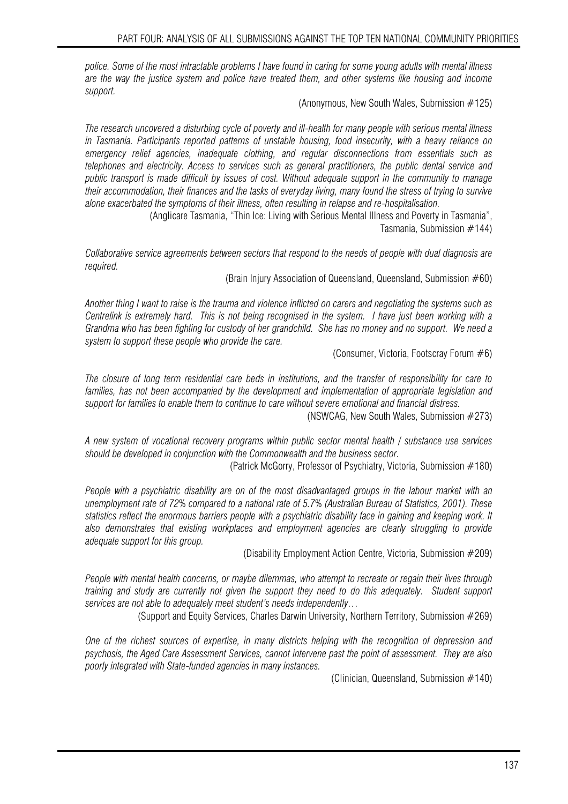*police. Some of the most intractable problems I have found in caring for some young adults with mental illness are the way the justice system and police have treated them, and other systems like housing and income support.* 

(Anonymous, New South Wales, Submission #125)

*The research uncovered a disturbing cycle of poverty and ill-health for many people with serious mental illness in Tasmania. Participants reported patterns of unstable housing, food insecurity, with a heavy reliance on emergency relief agencies, inadequate clothing, and regular disconnections from essentials such as telephones and electricity. Access to services such as general practitioners, the public dental service and public transport is made difficult by issues of cost. Without adequate support in the community to manage their accommodation, their finances and the tasks of everyday living, many found the stress of trying to survive alone exacerbated the symptoms of their illness, often resulting in relapse and re-hospitalisation.* 

(Anglicare Tasmania, "Thin Ice: Living with Serious Mental Illness and Poverty in Tasmania", Tasmania, Submission #144)

*Collaborative service agreements between sectors that respond to the needs of people with dual diagnosis are required.* 

(Brain Injury Association of Queensland, Queensland, Submission #60)

*Another thing I want to raise is the trauma and violence inflicted on carers and negotiating the systems such as Centrelink is extremely hard. This is not being recognised in the system. I have just been working with a Grandma who has been fighting for custody of her grandchild. She has no money and no support. We need a system to support these people who provide the care.* 

(Consumer, Victoria, Footscray Forum #6)

*The closure of long term residential care beds in institutions, and the transfer of responsibility for care to*  families, has not been accompanied by the development and implementation of appropriate legislation and *support for families to enable them to continue to care without severe emotional and financial distress.* 

(NSWCAG, New South Wales, Submission #273)

*A new system of vocational recovery programs within public sector mental health / substance use services should be developed in conjunction with the Commonwealth and the business sector.* 

(Patrick McGorry, Professor of Psychiatry, Victoria, Submission #180)

*People with a psychiatric disability are on of the most disadvantaged groups in the labour market with an unemployment rate of 72% compared to a national rate of 5.7% (Australian Bureau of Statistics, 2001). These statistics reflect the enormous barriers people with a psychiatric disability face in gaining and keeping work. It also demonstrates that existing workplaces and employment agencies are clearly struggling to provide adequate support for this group.* 

(Disability Employment Action Centre, Victoria, Submission #209)

*People with mental health concerns, or maybe dilemmas, who attempt to recreate or regain their lives through training and study are currently not given the support they need to do this adequately. Student support services are not able to adequately meet student's needs independently…* 

(Support and Equity Services, Charles Darwin University, Northern Territory, Submission #269)

*One of the richest sources of expertise, in many districts helping with the recognition of depression and psychosis, the Aged Care Assessment Services, cannot intervene past the point of assessment. They are also poorly integrated with State-funded agencies in many instances.* 

(Clinician, Queensland, Submission #140)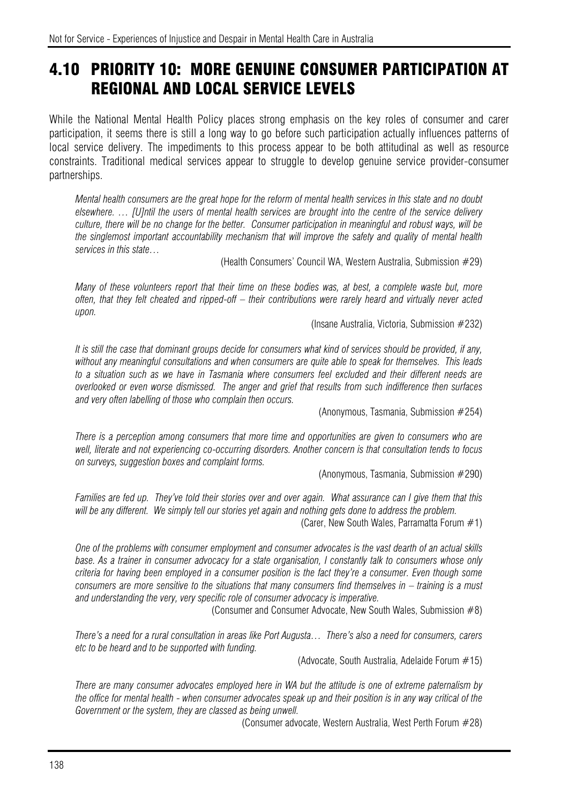# 4.10 PRIORITY 10: MORE GENUINE CONSUMER PARTICIPATION AT REGIONAL AND LOCAL SERVICE LEVELS

While the National Mental Health Policy places strong emphasis on the key roles of consumer and carer participation, it seems there is still a long way to go before such participation actually influences patterns of local service delivery. The impediments to this process appear to be both attitudinal as well as resource constraints. Traditional medical services appear to struggle to develop genuine service provider-consumer partnerships.

*Mental health consumers are the great hope for the reform of mental health services in this state and no doubt elsewhere. … [U]ntil the users of mental health services are brought into the centre of the service delivery culture, there will be no change for the better. Consumer participation in meaningful and robust ways, will be the singlemost important accountability mechanism that will improve the safety and quality of mental health services in this state…* 

(Health Consumers' Council WA, Western Australia, Submission #29)

*Many of these volunteers report that their time on these bodies was, at best, a complete waste but, more often, that they felt cheated and ripped-off – their contributions were rarely heard and virtually never acted upon.* 

(Insane Australia, Victoria, Submission #232)

*It is still the case that dominant groups decide for consumers what kind of services should be provided, if any, without any meaningful consultations and when consumers are quite able to speak for themselves. This leads to a situation such as we have in Tasmania where consumers feel excluded and their different needs are overlooked or even worse dismissed. The anger and grief that results from such indifference then surfaces and very often labelling of those who complain then occurs.* 

(Anonymous, Tasmania, Submission #254)

*There is a perception among consumers that more time and opportunities are given to consumers who are well, literate and not experiencing co-occurring disorders. Another concern is that consultation tends to focus on surveys, suggestion boxes and complaint forms.* 

(Anonymous, Tasmania, Submission #290)

*Families are fed up. They've told their stories over and over again. What assurance can I give them that this will be any different. We simply tell our stories yet again and nothing gets done to address the problem.* 

(Carer, New South Wales, Parramatta Forum #1)

*One of the problems with consumer employment and consumer advocates is the vast dearth of an actual skills base. As a trainer in consumer advocacy for a state organisation, I constantly talk to consumers whose only criteria for having been employed in a consumer position is the fact they're a consumer. Even though some consumers are more sensitive to the situations that many consumers find themselves in – training is a must and understanding the very, very specific role of consumer advocacy is imperative.* 

(Consumer and Consumer Advocate, New South Wales, Submission #8)

*There's a need for a rural consultation in areas like Port Augusta… There's also a need for consumers, carers etc to be heard and to be supported with funding.* 

(Advocate, South Australia, Adelaide Forum #15)

*There are many consumer advocates employed here in WA but the attitude is one of extreme paternalism by the office for mental health - when consumer advocates speak up and their position is in any way critical of the Government or the system, they are classed as being unwell.* 

(Consumer advocate, Western Australia, West Perth Forum #28)